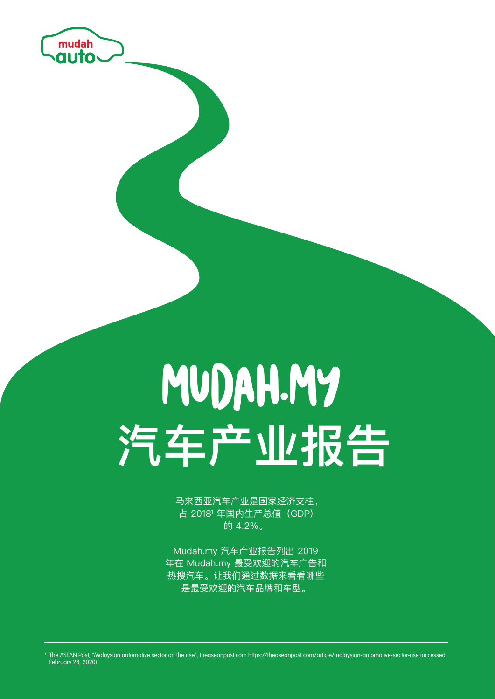

# MUDAH.MY **汽车产业报告**

马来西亚汽车产业是国家经济支柱, 占 2018<sup>1</sup> 年国内生产总值(GDP) 的 4.2%。

Mudah.my 汽车产业报告列出 2019 年在 Mudah.my 最受欢迎的汽车广告和 热搜汽车。让我们通过数据来看看哪些 是最受欢迎的汽车品牌和车型。

<sup>1</sup> The ASEAN Post, "Malaysian automotive sector on the rise", theaseanpost.com https://theaseanpost.com/article/malaysian-automotive-sector-rise (accessed February 28, 2020)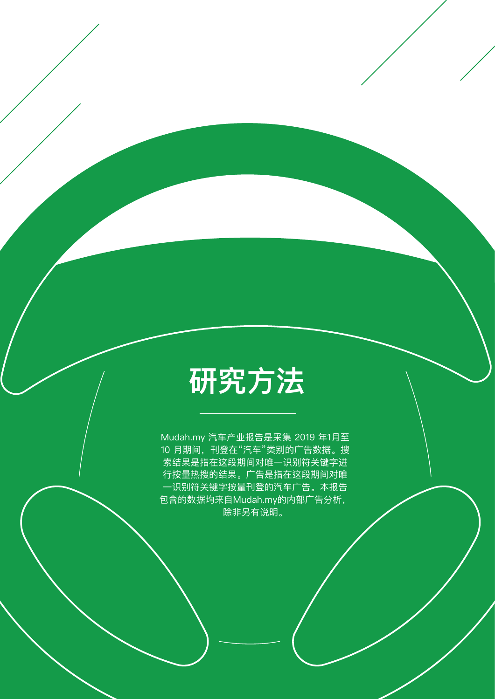#### **研究方法**

Mudah.my 汽车产业报告是采集 2019 年1月至 10 月期间,刊登在"汽车"类别的广告数据。搜 索结果是指在这段期间对唯一识别符关键字进 行按量热搜的结果。广告是指在这段期间对唯 一识别符关键字按量刊登的汽车广告。本报告 包含的数据均来自Mudah.my的内部广告分析, 除非另有说明。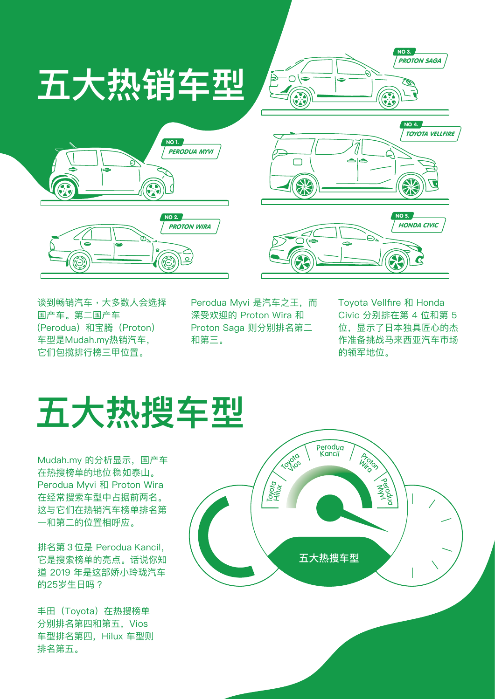

谈到畅销汽车,大多数人会选择 国产车。第二国产车 (Perodua)和宝腾(Proton) 车型是Mudah.my热销汽车, 它们包揽排行榜三甲位置。

Perodua Myvi 是汽车之王,而 深受欢迎的 Proton Wira 和 Proton Saga 则分别排名第二 和第三。

Toyota Vellfire 和 Honda Civic 分别排在第 4 位和第 5 位,显示了日本独具匠心的杰 作准备挑战马来西亚汽车市场 的领军地位。

#### **五大热搜车型**

Mudah.my 的分析显示,国产车 在热搜榜单的地位 如泰山。 稳 Perodua Myvi 和 Proton Wira 在经常搜索车型中占据前两名。 这与它们在热销汽车榜单排名第 一和第二的位置相呼应。

排名第 3 位是 Perodua Kancil, 它是搜索榜单的亮点。话说你知 道 2019 年是这部娇小玲珑汽车 的25岁生日吗?

丰田(Toyota)在热搜榜单 分别排名第四和第五,Vios 车型排名第四,Hilux 车型则 排名第五。

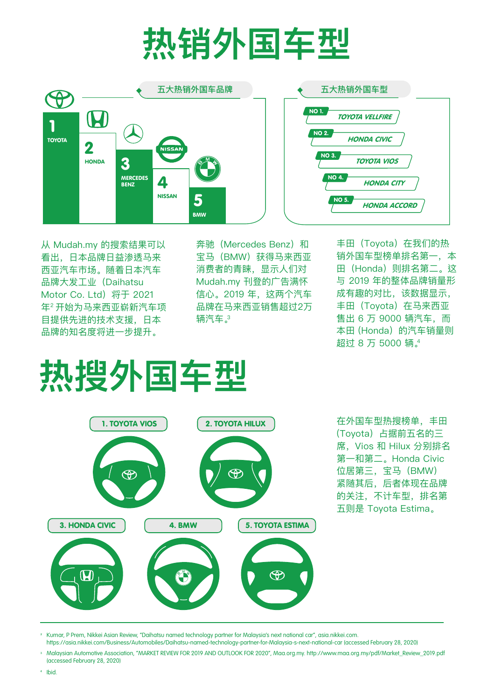# **热销外国车型**



从 Mudah.my 的搜索结果可以 看出,日本品牌日益渗透马来 西亚汽车市场。随着日本汽车 品牌大发工业(Daihatsu Motor Co. Ltd) 将于 2021 年2 开始为马来西亚崭新汽车项 目提供先进的技术支援,日本 品牌的知名度将进一步提升。

奔驰 (Mercedes Benz) 和 宝马(BMW)获得马来西亚 消费者的青睐,显示人们对 Mudah.my 刊登的广告满怀 信心。2019 年,这两个汽车 品牌在马来西亚销售超过2万 辆汽车。3

丰田 (Toyota) 在我们的热 销外国车型榜单排名第一,本 田(Honda)则排名第二。这 与 2019 年的整体品牌销量形 成有趣的对比,该数据显示, 丰田 (Toyota) 在马来西亚 售出 6 万 9000 辆汽车,而 本田 (Honda) 的汽车销量则 超过 8 万 5000 辆。4

### **热搜外国车型**



在外国车型热搜榜单,丰田 (Toyota)占据前五名的三 席,Vios 和 Hilux 分别排名 第一和第二。Honda Civic 位居第三,宝马 (BMW) 紧随其后,后者体现在品牌 的关注,不计车型,排名第 五则是 Toyota Estima。

Kumar, P Prem, Nikkei Asian Review, "Daihatsu named technology partner for Malaysia's next national car", asia.nikkei.com. https://asia.nikkei.com/Business/Automobiles/Daihatsu-named-technology-partner-for-Malaysia-s-next-national-car (accessed February 28, 2020)

Malaysian Automotive Association, "MARKET REVIEW FOR 2019 AND OUTLOOK FOR 2020", Maa.org.my. http://www.maa.org.my/pdf/Market\_Review\_2019.pdf (accessed February 28, 2020)